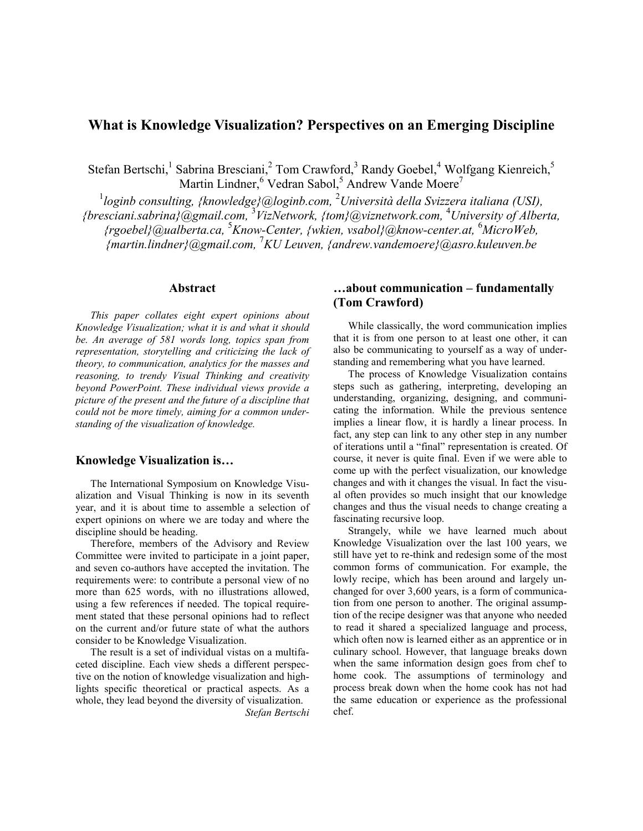# **What is Knowledge Visualization? Perspectives on an Emerging Discipline**

Stefan Bertschi,<sup>1</sup> Sabrina Bresciani,<sup>2</sup> Tom Crawford,<sup>3</sup> Randy Goebel,<sup>4</sup> Wolfgang Kienreich,<sup>5</sup> Martin Lindner, <sup>6</sup> Vedran Sabol,<sup>5</sup> Andrew Vande Moere<sup>7</sup>

<sup>1</sup>loginb consulting, {knowledge}@loginb.com, <sup>2</sup>Università della Svizzera italiana (USI), *{bresciani.sabrina}@gmail.com,* <sup>3</sup> *VizNetwork, {tom}@viznetwork.com,* <sup>4</sup> *University of Alberta, {rgoebel}@ualberta.ca,* <sup>5</sup> *Know-Center, {wkien, vsabol}@know-center.at,* <sup>6</sup> *MicroWeb, {martin.lindner}@gmail.com,* <sup>7</sup> *KU Leuven, {andrew.vandemoere}@asro.kuleuven.be*

#### **Abstract**

*This paper collates eight expert opinions about Knowledge Visualization; what it is and what it should be. An average of 581 words long, topics span from representation, storytelling and criticizing the lack of theory, to communication, analytics for the masses and reasoning, to trendy Visual Thinking and creativity beyond PowerPoint. These individual views provide a picture of the present and the future of a discipline that could not be more timely, aiming for a common understanding of the visualization of knowledge.* 

#### **Knowledge Visualization is…**

The International Symposium on Knowledge Visualization and Visual Thinking is now in its seventh year, and it is about time to assemble a selection of expert opinions on where we are today and where the discipline should be heading.

Therefore, members of the Advisory and Review Committee were invited to participate in a joint paper, and seven co-authors have accepted the invitation. The requirements were: to contribute a personal view of no more than 625 words, with no illustrations allowed, using a few references if needed. The topical requirement stated that these personal opinions had to reflect on the current and/or future state of what the authors consider to be Knowledge Visualization.

The result is a set of individual vistas on a multifaceted discipline. Each view sheds a different perspective on the notion of knowledge visualization and highlights specific theoretical or practical aspects. As a whole, they lead beyond the diversity of visualization.

*Stefan Bertschi* 

## **…about communication – fundamentally (Tom Crawford)**

While classically, the word communication implies that it is from one person to at least one other, it can also be communicating to yourself as a way of understanding and remembering what you have learned.

The process of Knowledge Visualization contains steps such as gathering, interpreting, developing an understanding, organizing, designing, and communicating the information. While the previous sentence implies a linear flow, it is hardly a linear process. In fact, any step can link to any other step in any number of iterations until a "final" representation is created. Of course, it never is quite final. Even if we were able to come up with the perfect visualization, our knowledge changes and with it changes the visual. In fact the visual often provides so much insight that our knowledge changes and thus the visual needs to change creating a fascinating recursive loop.

Strangely, while we have learned much about Knowledge Visualization over the last 100 years, we still have yet to re-think and redesign some of the most common forms of communication. For example, the lowly recipe, which has been around and largely unchanged for over 3,600 years, is a form of communication from one person to another. The original assumption of the recipe designer was that anyone who needed to read it shared a specialized language and process, which often now is learned either as an apprentice or in culinary school. However, that language breaks down when the same information design goes from chef to home cook. The assumptions of terminology and process break down when the home cook has not had the same education or experience as the professional chef.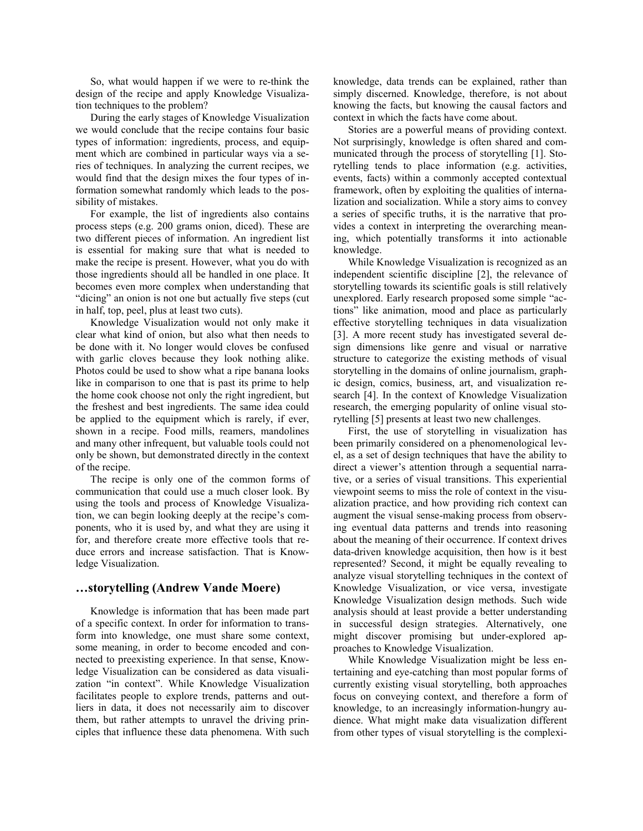So, what would happen if we were to re-think the design of the recipe and apply Knowledge Visualization techniques to the problem?

During the early stages of Knowledge Visualization we would conclude that the recipe contains four basic types of information: ingredients, process, and equipment which are combined in particular ways via a series of techniques. In analyzing the current recipes, we would find that the design mixes the four types of information somewhat randomly which leads to the possibility of mistakes.

For example, the list of ingredients also contains process steps (e.g. 200 grams onion, diced). These are two different pieces of information. An ingredient list is essential for making sure that what is needed to make the recipe is present. However, what you do with those ingredients should all be handled in one place. It becomes even more complex when understanding that "dicing" an onion is not one but actually five steps (cut in half, top, peel, plus at least two cuts).

Knowledge Visualization would not only make it clear what kind of onion, but also what then needs to be done with it. No longer would cloves be confused with garlic cloves because they look nothing alike. Photos could be used to show what a ripe banana looks like in comparison to one that is past its prime to help the home cook choose not only the right ingredient, but the freshest and best ingredients. The same idea could be applied to the equipment which is rarely, if ever, shown in a recipe. Food mills, reamers, mandolines and many other infrequent, but valuable tools could not only be shown, but demonstrated directly in the context of the recipe.

The recipe is only one of the common forms of communication that could use a much closer look. By using the tools and process of Knowledge Visualization, we can begin looking deeply at the recipe's components, who it is used by, and what they are using it for, and therefore create more effective tools that reduce errors and increase satisfaction. That is Knowledge Visualization.

#### **…storytelling (Andrew Vande Moere)**

Knowledge is information that has been made part of a specific context. In order for information to transform into knowledge, one must share some context, some meaning, in order to become encoded and connected to preexisting experience. In that sense, Knowledge Visualization can be considered as data visualization "in context". While Knowledge Visualization facilitates people to explore trends, patterns and outliers in data, it does not necessarily aim to discover them, but rather attempts to unravel the driving principles that influence these data phenomena. With such knowledge, data trends can be explained, rather than simply discerned. Knowledge, therefore, is not about knowing the facts, but knowing the causal factors and context in which the facts have come about.

Stories are a powerful means of providing context. Not surprisingly, knowledge is often shared and communicated through the process of storytelling [1]. Storytelling tends to place information (e.g. activities, events, facts) within a commonly accepted contextual framework, often by exploiting the qualities of internalization and socialization. While a story aims to convey a series of specific truths, it is the narrative that provides a context in interpreting the overarching meaning, which potentially transforms it into actionable knowledge.

While Knowledge Visualization is recognized as an independent scientific discipline [2], the relevance of storytelling towards its scientific goals is still relatively unexplored. Early research proposed some simple "actions" like animation, mood and place as particularly effective storytelling techniques in data visualization [3]. A more recent study has investigated several design dimensions like genre and visual or narrative structure to categorize the existing methods of visual storytelling in the domains of online journalism, graphic design, comics, business, art, and visualization research [4]. In the context of Knowledge Visualization research, the emerging popularity of online visual storytelling [5] presents at least two new challenges.

First, the use of storytelling in visualization has been primarily considered on a phenomenological level, as a set of design techniques that have the ability to direct a viewer's attention through a sequential narrative, or a series of visual transitions. This experiential viewpoint seems to miss the role of context in the visualization practice, and how providing rich context can augment the visual sense-making process from observing eventual data patterns and trends into reasoning about the meaning of their occurrence. If context drives data-driven knowledge acquisition, then how is it best represented? Second, it might be equally revealing to analyze visual storytelling techniques in the context of Knowledge Visualization, or vice versa, investigate Knowledge Visualization design methods. Such wide analysis should at least provide a better understanding in successful design strategies. Alternatively, one might discover promising but under-explored approaches to Knowledge Visualization.

While Knowledge Visualization might be less entertaining and eye-catching than most popular forms of currently existing visual storytelling, both approaches focus on conveying context, and therefore a form of knowledge, to an increasingly information-hungry audience. What might make data visualization different from other types of visual storytelling is the complexi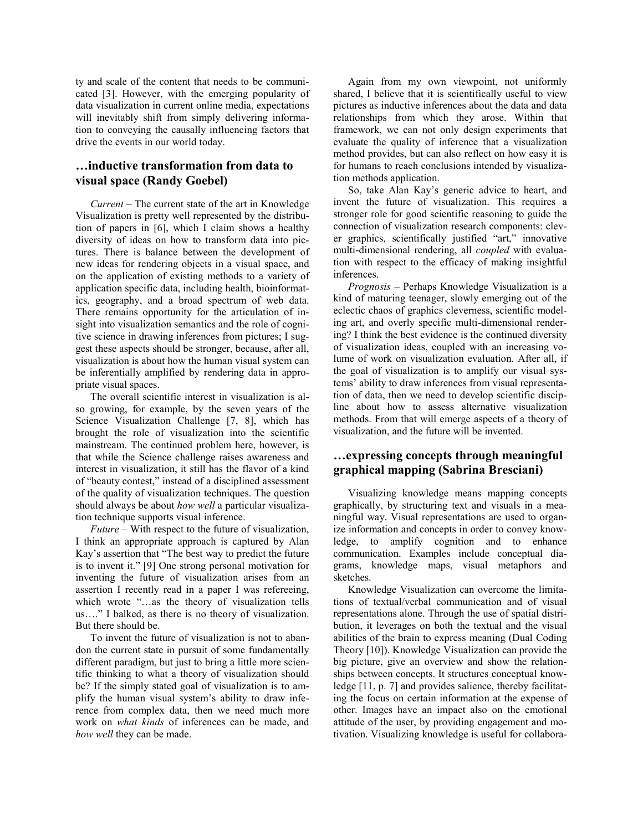ty and scale of the content that needs to be communicated [3]. However, with the emerging popularity of data visualization in current online media, expectations will inevitably shift from simply delivering information to conveying the causally influencing factors that drive the events in our world today.

## **…inductive transformation from data to visual space (Randy Goebel)**

*Current* – The current state of the art in Knowledge Visualization is pretty well represented by the distribution of papers in [6], which I claim shows a healthy diversity of ideas on how to transform data into pictures. There is balance between the development of new ideas for rendering objects in a visual space, and on the application of existing methods to a variety of application specific data, including health, bioinformatics, geography, and a broad spectrum of web data. There remains opportunity for the articulation of insight into visualization semantics and the role of cognitive science in drawing inferences from pictures; I suggest these aspects should be stronger, because, after all, visualization is about how the human visual system can be inferentially amplified by rendering data in appropriate visual spaces.

The overall scientific interest in visualization is also growing, for example, by the seven years of the Science Visualization Challenge [7, 8], which has brought the role of visualization into the scientific mainstream. The continued problem here, however, is that while the Science challenge raises awareness and interest in visualization, it still has the flavor of a kind of "beauty contest," instead of a disciplined assessment of the quality of visualization techniques. The question should always be about *how well* a particular visualization technique supports visual inference.

*Future* – With respect to the future of visualization, I think an appropriate approach is captured by Alan Kay's assertion that "The best way to predict the future is to invent it." [9] One strong personal motivation for inventing the future of visualization arises from an assertion I recently read in a paper I was refereeing, which wrote "…as the theory of visualization tells us…." I balked, as there is no theory of visualization. But there should be.

To invent the future of visualization is not to abandon the current state in pursuit of some fundamentally different paradigm, but just to bring a little more scientific thinking to what a theory of visualization should be? If the simply stated goal of visualization is to amplify the human visual system's ability to draw inference from complex data, then we need much more work on *what kinds* of inferences can be made, and *how well* they can be made.

Again from my own viewpoint, not uniformly shared, I believe that it is scientifically useful to view pictures as inductive inferences about the data and data relationships from which they arose. Within that framework, we can not only design experiments that evaluate the quality of inference that a visualization method provides, but can also reflect on how easy it is for humans to reach conclusions intended by visualization methods application.

So, take Alan Kay's generic advice to heart, and invent the future of visualization. This requires a stronger role for good scientific reasoning to guide the connection of visualization research components: clever graphics, scientifically justified "art," innovative multi-dimensional rendering, all *coupled* with evaluation with respect to the efficacy of making insightful inferences.

*Prognosis* – Perhaps Knowledge Visualization is a kind of maturing teenager, slowly emerging out of the eclectic chaos of graphics cleverness, scientific modeling art, and overly specific multi-dimensional rendering? I think the best evidence is the continued diversity of visualization ideas, coupled with an increasing volume of work on visualization evaluation. After all, if the goal of visualization is to amplify our visual systems' ability to draw inferences from visual representation of data, then we need to develop scientific discipline about how to assess alternative visualization methods. From that will emerge aspects of a theory of visualization, and the future will be invented.

## **…expressing concepts through meaningful graphical mapping (Sabrina Bresciani)**

Visualizing knowledge means mapping concepts graphically, by structuring text and visuals in a meaningful way. Visual representations are used to organize information and concepts in order to convey knowledge, to amplify cognition and to enhance communication. Examples include conceptual diagrams, knowledge maps, visual metaphors and sketches.

Knowledge Visualization can overcome the limitations of textual/verbal communication and of visual representations alone. Through the use of spatial distribution, it leverages on both the textual and the visual abilities of the brain to express meaning (Dual Coding Theory [10]). Knowledge Visualization can provide the big picture, give an overview and show the relationships between concepts. It structures conceptual knowledge [11, p. 7] and provides salience, thereby facilitating the focus on certain information at the expense of other. Images have an impact also on the emotional attitude of the user, by providing engagement and motivation. Visualizing knowledge is useful for collabora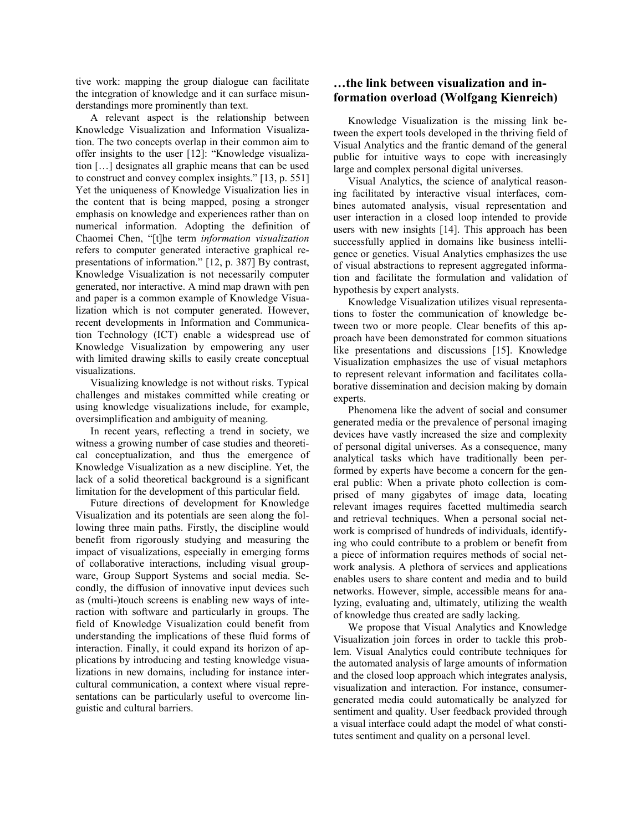tive work: mapping the group dialogue can facilitate the integration of knowledge and it can surface misunderstandings more prominently than text.

A relevant aspect is the relationship between Knowledge Visualization and Information Visualization. The two concepts overlap in their common aim to offer insights to the user [12]: "Knowledge visualization […] designates all graphic means that can be used to construct and convey complex insights." [13, p. 551] Yet the uniqueness of Knowledge Visualization lies in the content that is being mapped, posing a stronger emphasis on knowledge and experiences rather than on numerical information. Adopting the definition of Chaomei Chen, "[t]he term *information visualization* refers to computer generated interactive graphical representations of information." [12, p. 387] By contrast, Knowledge Visualization is not necessarily computer generated, nor interactive. A mind map drawn with pen and paper is a common example of Knowledge Visualization which is not computer generated. However, recent developments in Information and Communication Technology (ICT) enable a widespread use of Knowledge Visualization by empowering any user with limited drawing skills to easily create conceptual visualizations.

Visualizing knowledge is not without risks. Typical challenges and mistakes committed while creating or using knowledge visualizations include, for example, oversimplification and ambiguity of meaning.

In recent years, reflecting a trend in society, we witness a growing number of case studies and theoretical conceptualization, and thus the emergence of Knowledge Visualization as a new discipline. Yet, the lack of a solid theoretical background is a significant limitation for the development of this particular field.

Future directions of development for Knowledge Visualization and its potentials are seen along the following three main paths. Firstly, the discipline would benefit from rigorously studying and measuring the impact of visualizations, especially in emerging forms of collaborative interactions, including visual groupware, Group Support Systems and social media. Secondly, the diffusion of innovative input devices such as (multi-)touch screens is enabling new ways of interaction with software and particularly in groups. The field of Knowledge Visualization could benefit from understanding the implications of these fluid forms of interaction. Finally, it could expand its horizon of applications by introducing and testing knowledge visualizations in new domains, including for instance intercultural communication, a context where visual representations can be particularly useful to overcome linguistic and cultural barriers.

## **…the link between visualization and information overload (Wolfgang Kienreich)**

Knowledge Visualization is the missing link between the expert tools developed in the thriving field of Visual Analytics and the frantic demand of the general public for intuitive ways to cope with increasingly large and complex personal digital universes.

Visual Analytics, the science of analytical reasoning facilitated by interactive visual interfaces, combines automated analysis, visual representation and user interaction in a closed loop intended to provide users with new insights [14]. This approach has been successfully applied in domains like business intelligence or genetics. Visual Analytics emphasizes the use of visual abstractions to represent aggregated information and facilitate the formulation and validation of hypothesis by expert analysts.

Knowledge Visualization utilizes visual representations to foster the communication of knowledge between two or more people. Clear benefits of this approach have been demonstrated for common situations like presentations and discussions [15]. Knowledge Visualization emphasizes the use of visual metaphors to represent relevant information and facilitates collaborative dissemination and decision making by domain experts.

Phenomena like the advent of social and consumer generated media or the prevalence of personal imaging devices have vastly increased the size and complexity of personal digital universes. As a consequence, many analytical tasks which have traditionally been performed by experts have become a concern for the general public: When a private photo collection is comprised of many gigabytes of image data, locating relevant images requires facetted multimedia search and retrieval techniques. When a personal social network is comprised of hundreds of individuals, identifying who could contribute to a problem or benefit from a piece of information requires methods of social network analysis. A plethora of services and applications enables users to share content and media and to build networks. However, simple, accessible means for analyzing, evaluating and, ultimately, utilizing the wealth of knowledge thus created are sadly lacking.

We propose that Visual Analytics and Knowledge Visualization join forces in order to tackle this problem. Visual Analytics could contribute techniques for the automated analysis of large amounts of information and the closed loop approach which integrates analysis, visualization and interaction. For instance, consumergenerated media could automatically be analyzed for sentiment and quality. User feedback provided through a visual interface could adapt the model of what constitutes sentiment and quality on a personal level.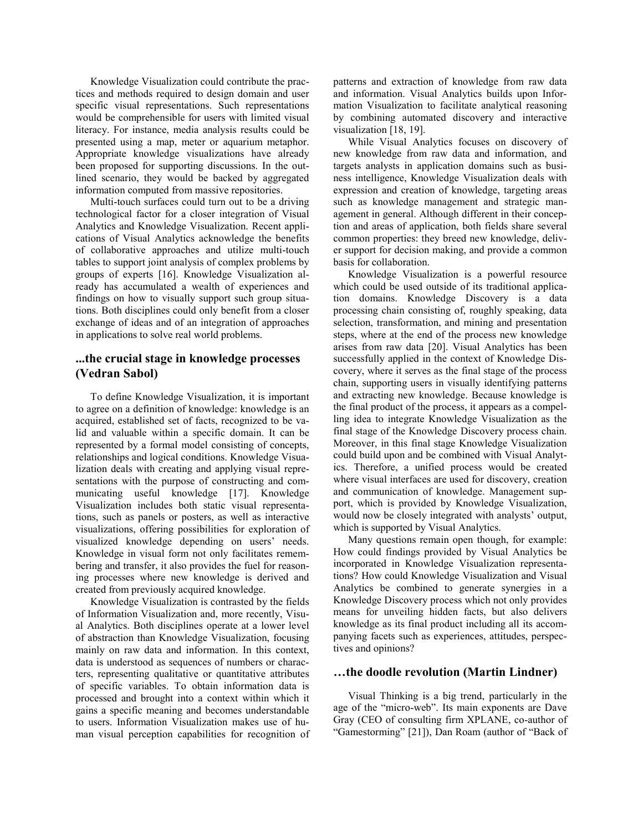Knowledge Visualization could contribute the practices and methods required to design domain and user specific visual representations. Such representations would be comprehensible for users with limited visual literacy. For instance, media analysis results could be presented using a map, meter or aquarium metaphor. Appropriate knowledge visualizations have already been proposed for supporting discussions. In the outlined scenario, they would be backed by aggregated information computed from massive repositories.

Multi-touch surfaces could turn out to be a driving technological factor for a closer integration of Visual Analytics and Knowledge Visualization. Recent applications of Visual Analytics acknowledge the benefits of collaborative approaches and utilize multi-touch tables to support joint analysis of complex problems by groups of experts [16]. Knowledge Visualization already has accumulated a wealth of experiences and findings on how to visually support such group situations. Both disciplines could only benefit from a closer exchange of ideas and of an integration of approaches in applications to solve real world problems.

### **...the crucial stage in knowledge processes (Vedran Sabol)**

To define Knowledge Visualization, it is important to agree on a definition of knowledge: knowledge is an acquired, established set of facts, recognized to be valid and valuable within a specific domain. It can be represented by a formal model consisting of concepts, relationships and logical conditions. Knowledge Visualization deals with creating and applying visual representations with the purpose of constructing and communicating useful knowledge [17]. Knowledge Visualization includes both static visual representations, such as panels or posters, as well as interactive visualizations, offering possibilities for exploration of visualized knowledge depending on users' needs. Knowledge in visual form not only facilitates remembering and transfer, it also provides the fuel for reasoning processes where new knowledge is derived and created from previously acquired knowledge.

Knowledge Visualization is contrasted by the fields of Information Visualization and, more recently, Visual Analytics. Both disciplines operate at a lower level of abstraction than Knowledge Visualization, focusing mainly on raw data and information. In this context, data is understood as sequences of numbers or characters, representing qualitative or quantitative attributes of specific variables. To obtain information data is processed and brought into a context within which it gains a specific meaning and becomes understandable to users. Information Visualization makes use of human visual perception capabilities for recognition of

patterns and extraction of knowledge from raw data and information. Visual Analytics builds upon Information Visualization to facilitate analytical reasoning by combining automated discovery and interactive visualization [18, 19].

While Visual Analytics focuses on discovery of new knowledge from raw data and information, and targets analysts in application domains such as business intelligence, Knowledge Visualization deals with expression and creation of knowledge, targeting areas such as knowledge management and strategic management in general. Although different in their conception and areas of application, both fields share several common properties: they breed new knowledge, deliver support for decision making, and provide a common basis for collaboration.

Knowledge Visualization is a powerful resource which could be used outside of its traditional application domains. Knowledge Discovery is a data processing chain consisting of, roughly speaking, data selection, transformation, and mining and presentation steps, where at the end of the process new knowledge arises from raw data [20]. Visual Analytics has been successfully applied in the context of Knowledge Discovery, where it serves as the final stage of the process chain, supporting users in visually identifying patterns and extracting new knowledge. Because knowledge is the final product of the process, it appears as a compelling idea to integrate Knowledge Visualization as the final stage of the Knowledge Discovery process chain. Moreover, in this final stage Knowledge Visualization could build upon and be combined with Visual Analytics. Therefore, a unified process would be created where visual interfaces are used for discovery, creation and communication of knowledge. Management support, which is provided by Knowledge Visualization, would now be closely integrated with analysts' output, which is supported by Visual Analytics.

Many questions remain open though, for example: How could findings provided by Visual Analytics be incorporated in Knowledge Visualization representations? How could Knowledge Visualization and Visual Analytics be combined to generate synergies in a Knowledge Discovery process which not only provides means for unveiling hidden facts, but also delivers knowledge as its final product including all its accompanying facets such as experiences, attitudes, perspectives and opinions?

#### **…the doodle revolution (Martin Lindner)**

Visual Thinking is a big trend, particularly in the age of the "micro-web". Its main exponents are Dave Gray (CEO of consulting firm XPLANE, co-author of "Gamestorming" [21]), Dan Roam (author of "Back of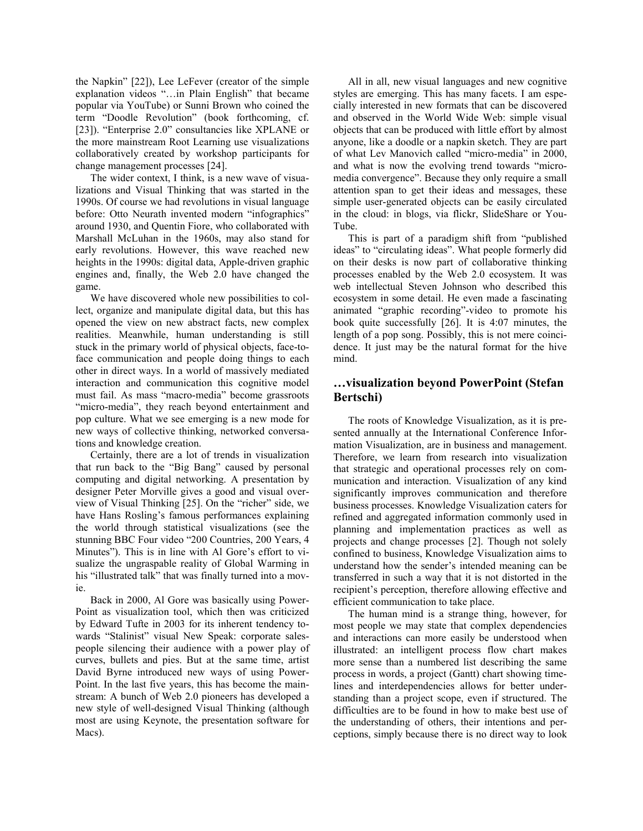the Napkin" [22]), Lee LeFever (creator of the simple explanation videos "…in Plain English" that became popular via YouTube) or Sunni Brown who coined the term "Doodle Revolution" (book forthcoming, cf. [23]). "Enterprise 2.0" consultancies like XPLANE or the more mainstream Root Learning use visualizations collaboratively created by workshop participants for change management processes [24].

The wider context, I think, is a new wave of visualizations and Visual Thinking that was started in the 1990s. Of course we had revolutions in visual language before: Otto Neurath invented modern "infographics" around 1930, and Quentin Fiore, who collaborated with Marshall McLuhan in the 1960s, may also stand for early revolutions. However, this wave reached new heights in the 1990s: digital data, Apple-driven graphic engines and, finally, the Web 2.0 have changed the game.

We have discovered whole new possibilities to collect, organize and manipulate digital data, but this has opened the view on new abstract facts, new complex realities. Meanwhile, human understanding is still stuck in the primary world of physical objects, face-toface communication and people doing things to each other in direct ways. In a world of massively mediated interaction and communication this cognitive model must fail. As mass "macro-media" become grassroots "micro-media", they reach beyond entertainment and pop culture. What we see emerging is a new mode for new ways of collective thinking, networked conversations and knowledge creation.

Certainly, there are a lot of trends in visualization that run back to the "Big Bang" caused by personal computing and digital networking. A presentation by designer Peter Morville gives a good and visual overview of Visual Thinking [25]. On the "richer" side, we have Hans Rosling's famous performances explaining the world through statistical visualizations (see the stunning BBC Four video "200 Countries, 200 Years, 4 Minutes"). This is in line with Al Gore's effort to visualize the ungraspable reality of Global Warming in his "illustrated talk" that was finally turned into a movie.

Back in 2000, Al Gore was basically using Power-Point as visualization tool, which then was criticized by Edward Tufte in 2003 for its inherent tendency towards "Stalinist" visual New Speak: corporate salespeople silencing their audience with a power play of curves, bullets and pies. But at the same time, artist David Byrne introduced new ways of using Power-Point. In the last five years, this has become the mainstream: A bunch of Web 2.0 pioneers has developed a new style of well-designed Visual Thinking (although most are using Keynote, the presentation software for Macs).

All in all, new visual languages and new cognitive styles are emerging. This has many facets. I am especially interested in new formats that can be discovered and observed in the World Wide Web: simple visual objects that can be produced with little effort by almost anyone, like a doodle or a napkin sketch. They are part of what Lev Manovich called "micro-media" in 2000, and what is now the evolving trend towards "micromedia convergence". Because they only require a small attention span to get their ideas and messages, these simple user-generated objects can be easily circulated in the cloud: in blogs, via flickr, SlideShare or You-Tube.

This is part of a paradigm shift from "published ideas" to "circulating ideas". What people formerly did on their desks is now part of collaborative thinking processes enabled by the Web 2.0 ecosystem. It was web intellectual Steven Johnson who described this ecosystem in some detail. He even made a fascinating animated "graphic recording"-video to promote his book quite successfully [26]. It is 4:07 minutes, the length of a pop song. Possibly, this is not mere coincidence. It just may be the natural format for the hive mind.

## **…visualization beyond PowerPoint (Stefan Bertschi)**

The roots of Knowledge Visualization, as it is presented annually at the International Conference Information Visualization, are in business and management. Therefore, we learn from research into visualization that strategic and operational processes rely on communication and interaction. Visualization of any kind significantly improves communication and therefore business processes. Knowledge Visualization caters for refined and aggregated information commonly used in planning and implementation practices as well as projects and change processes [2]. Though not solely confined to business, Knowledge Visualization aims to understand how the sender's intended meaning can be transferred in such a way that it is not distorted in the recipient's perception, therefore allowing effective and efficient communication to take place.

The human mind is a strange thing, however, for most people we may state that complex dependencies and interactions can more easily be understood when illustrated: an intelligent process flow chart makes more sense than a numbered list describing the same process in words, a project (Gantt) chart showing timelines and interdependencies allows for better understanding than a project scope, even if structured. The difficulties are to be found in how to make best use of the understanding of others, their intentions and perceptions, simply because there is no direct way to look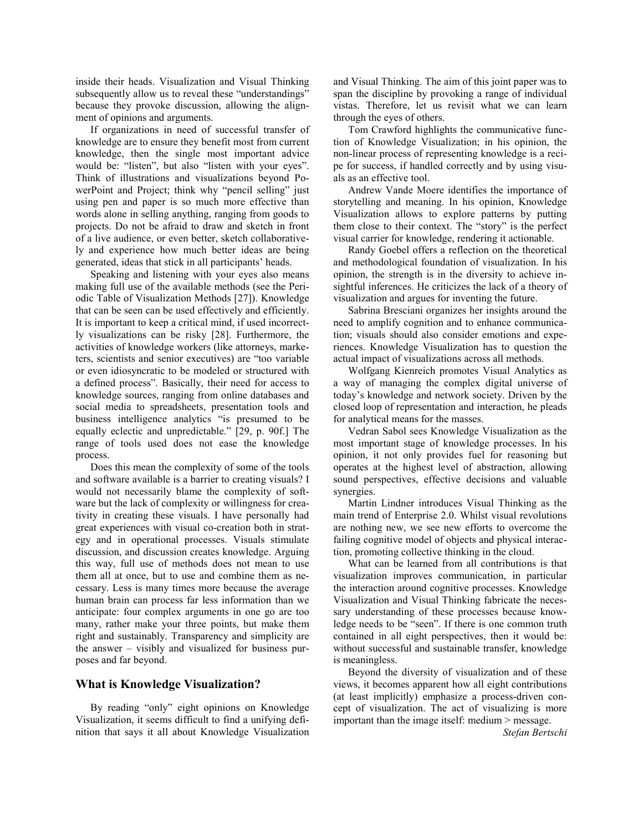inside their heads. Visualization and Visual Thinking subsequently allow us to reveal these "understandings" because they provoke discussion, allowing the alignment of opinions and arguments.

If organizations in need of successful transfer of knowledge are to ensure they benefit most from current knowledge, then the single most important advice would be: "listen", but also "listen with your eyes". Think of illustrations and visualizations beyond PowerPoint and Project; think why "pencil selling" just using pen and paper is so much more effective than words alone in selling anything, ranging from goods to projects. Do not be afraid to draw and sketch in front of a live audience, or even better, sketch collaboratively and experience how much better ideas are being generated, ideas that stick in all participants' heads.

Speaking and listening with your eyes also means making full use of the available methods (see the Periodic Table of Visualization Methods [27]). Knowledge that can be seen can be used effectively and efficiently. It is important to keep a critical mind, if used incorrectly visualizations can be risky [28]. Furthermore, the activities of knowledge workers (like attorneys, marketers, scientists and senior executives) are "too variable or even idiosyncratic to be modeled or structured with a defined process". Basically, their need for access to knowledge sources, ranging from online databases and social media to spreadsheets, presentation tools and business intelligence analytics "is presumed to be equally eclectic and unpredictable." [29, p. 90f.] The range of tools used does not ease the knowledge process.

Does this mean the complexity of some of the tools and software available is a barrier to creating visuals? I would not necessarily blame the complexity of software but the lack of complexity or willingness for creativity in creating these visuals. I have personally had great experiences with visual co-creation both in strategy and in operational processes. Visuals stimulate discussion, and discussion creates knowledge. Arguing this way, full use of methods does not mean to use them all at once, but to use and combine them as necessary. Less is many times more because the average human brain can process far less information than we anticipate: four complex arguments in one go are too many, rather make your three points, but make them right and sustainably. Transparency and simplicity are the answer – visibly and visualized for business purposes and far beyond.

#### **What is Knowledge Visualization?**

By reading "only" eight opinions on Knowledge Visualization, it seems difficult to find a unifying definition that says it all about Knowledge Visualization and Visual Thinking. The aim of this joint paper was to span the discipline by provoking a range of individual vistas. Therefore, let us revisit what we can learn through the eyes of others.

Tom Crawford highlights the communicative function of Knowledge Visualization; in his opinion, the non-linear process of representing knowledge is a recipe for success, if handled correctly and by using visuals as an effective tool.

Andrew Vande Moere identifies the importance of storytelling and meaning. In his opinion, Knowledge Visualization allows to explore patterns by putting them close to their context. The "story" is the perfect visual carrier for knowledge, rendering it actionable.

Randy Goebel offers a reflection on the theoretical and methodological foundation of visualization. In his opinion, the strength is in the diversity to achieve insightful inferences. He criticizes the lack of a theory of visualization and argues for inventing the future.

Sabrina Bresciani organizes her insights around the need to amplify cognition and to enhance communication; visuals should also consider emotions and experiences. Knowledge Visualization has to question the actual impact of visualizations across all methods.

Wolfgang Kienreich promotes Visual Analytics as a way of managing the complex digital universe of today's knowledge and network society. Driven by the closed loop of representation and interaction, he pleads for analytical means for the masses.

Vedran Sabol sees Knowledge Visualization as the most important stage of knowledge processes. In his opinion, it not only provides fuel for reasoning but operates at the highest level of abstraction, allowing sound perspectives, effective decisions and valuable synergies.

Martin Lindner introduces Visual Thinking as the main trend of Enterprise 2.0. Whilst visual revolutions are nothing new, we see new efforts to overcome the failing cognitive model of objects and physical interaction, promoting collective thinking in the cloud.

What can be learned from all contributions is that visualization improves communication, in particular the interaction around cognitive processes. Knowledge Visualization and Visual Thinking fabricate the necessary understanding of these processes because knowledge needs to be "seen". If there is one common truth contained in all eight perspectives, then it would be: without successful and sustainable transfer, knowledge is meaningless.

Beyond the diversity of visualization and of these views, it becomes apparent how all eight contributions (at least implicitly) emphasize a process-driven concept of visualization. The act of visualizing is more important than the image itself: medium > message.

*Stefan Bertschi*